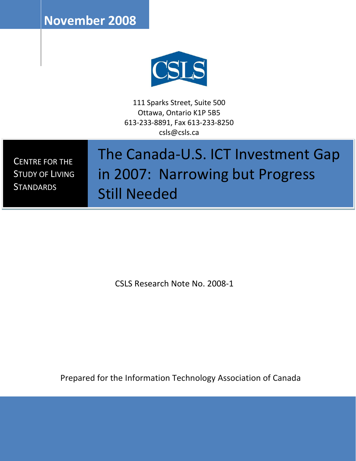**November 2008**



111 Sparks Street, Suite 500 Ottawa, Ontario K1P 5B5 613-233-8891, Fax 613-233-8250 csls@csls.ca

CENTRE FOR THE STUDY OF LIVING **STANDARDS** 

# The Canada-U.S. ICT Investment Gap in 2007: Narrowing but Progress Still Needed

CSLS Research Note No. 2008-1

Prepared for the Information Technology Association of Canada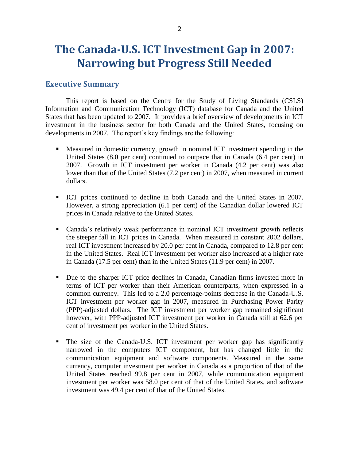# **The Canada-U.S. ICT Investment Gap in 2007: Narrowing but Progress Still Needed**

# **Executive Summary**

This report is based on the Centre for the Study of Living Standards (CSLS) Information and Communication Technology (ICT) database for Canada and the United States that has been updated to 2007. It provides a brief overview of developments in ICT investment in the business sector for both Canada and the United States, focusing on developments in 2007. The report's key findings are the following:

- Measured in domestic currency, growth in nominal ICT investment spending in the United States (8.0 per cent) continued to outpace that in Canada (6.4 per cent) in 2007. Growth in ICT investment per worker in Canada (4.2 per cent) was also lower than that of the United States (7.2 per cent) in 2007, when measured in current dollars.
- ICT prices continued to decline in both Canada and the United States in 2007. However, a strong appreciation (6.1 per cent) of the Canadian dollar lowered ICT prices in Canada relative to the United States.
- Canada's relatively weak performance in nominal ICT investment growth reflects the steeper fall in ICT prices in Canada. When measured in constant 2002 dollars, real ICT investment increased by 20.0 per cent in Canada, compared to 12.8 per cent in the United States. Real ICT investment per worker also increased at a higher rate in Canada (17.5 per cent) than in the United States (11.9 per cent) in 2007.
- Due to the sharper ICT price declines in Canada, Canadian firms invested more in terms of ICT per worker than their American counterparts, when expressed in a common currency. This led to a 2.0 percentage-points decrease in the Canada-U.S. ICT investment per worker gap in 2007, measured in Purchasing Power Parity (PPP)-adjusted dollars. The ICT investment per worker gap remained significant however, with PPP-adjusted ICT investment per worker in Canada still at 62.6 per cent of investment per worker in the United States.
- The size of the Canada-U.S. ICT investment per worker gap has significantly narrowed in the computers ICT component, but has changed little in the communication equipment and software components. Measured in the same currency, computer investment per worker in Canada as a proportion of that of the United States reached 99.8 per cent in 2007, while communication equipment investment per worker was 58.0 per cent of that of the United States, and software investment was 49.4 per cent of that of the United States.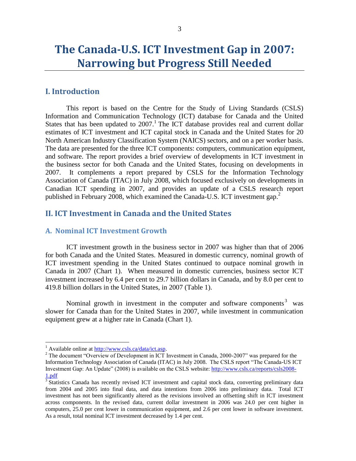# **The Canada-U.S. ICT Investment Gap in 2007: Narrowing but Progress Still Needed**

### **I. Introduction**

This report is based on the Centre for the Study of Living Standards (CSLS) Information and Communication Technology (ICT) database for Canada and the United States that has been updated to  $2007$ .<sup>1</sup> The ICT database provides real and current dollar estimates of ICT investment and ICT capital stock in Canada and the United States for 20 North American Industry Classification System (NAICS) sectors, and on a per worker basis. The data are presented for the three ICT components: computers, communication equipment, and software. The report provides a brief overview of developments in ICT investment in the business sector for both Canada and the United States, focusing on developments in 2007. It complements a report prepared by CSLS for the Information Technology Association of Canada (ITAC) in July 2008, which focused exclusively on developments in Canadian ICT spending in 2007, and provides an update of a CSLS research report published in February 2008, which examined the Canada-U.S. ICT investment gap.<sup>2</sup>

# **II. ICT Investment in Canada and the United States**

#### **A. Nominal ICT Investment Growth**

ICT investment growth in the business sector in 2007 was higher than that of 2006 for both Canada and the United States. Measured in domestic currency, nominal growth of ICT investment spending in the United States continued to outpace nominal growth in Canada in 2007 (Chart 1). When measured in domestic currencies, business sector ICT investment increased by 6.4 per cent to 29.7 billion dollars in Canada, and by 8.0 per cent to 419.8 billion dollars in the United States, in 2007 (Table 1).

Nominal growth in investment in the computer and software components<sup>3</sup> was slower for Canada than for the United States in 2007, while investment in communication equipment grew at a higher rate in Canada (Chart 1).

<sup>&</sup>lt;sup>1</sup> Available online at [http://www.csls.ca/data/ict.asp.](http://www.csls.ca/data/ict.asp)

<sup>&</sup>lt;sup>2</sup> The document "Overview of Development in ICT Investment in Canada, 2000-2007" was prepared for the Information Technology Association of Canada (ITAC) in July 2008. The CSLS report "The Canada-US ICT Investment Gap: An Update" (2008) is available on the CSLS website: [http://www.csls.ca/reports/csls2008-](http://www.csls.ca/reports/csls2008-1.pdf) [1.pdf](http://www.csls.ca/reports/csls2008-1.pdf)<br><sup>3</sup> Statistics Canada has recently revised ICT investment and capital stock data, converting preliminary data

from 2004 and 2005 into final data, and data intentions from 2006 into preliminary data. Total ICT investment has not been significantly altered as the revisions involved an offsetting shift in ICT investment across components. In the revised data, current dollar investment in 2006 was 24.0 per cent higher in computers, 25.0 per cent lower in communication equipment, and 2.6 per cent lower in software investment. As a result, total nominal ICT investment decreased by 1.4 per cent.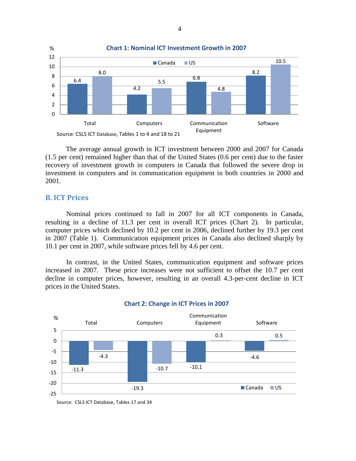

The average annual growth in ICT investment between 2000 and 2007 for Canada (1.5 per cent) remained higher than that of the United States (0.6 per cent) due to the faster recovery of investment growth in computers in Canada that followed the severe drop in investment in computers and in communication equipment in both countries in 2000 and 2001.

#### **B. ICT Prices**

Nominal prices continued to fall in 2007 for all ICT components in Canada, resulting in a decline of 11.3 per cent in overall ICT prices (Chart 2). In particular, computer prices which declined by 10.2 per cent in 2006, declined further by 19.3 per cent in 2007 (Table 1). Communication equipment prices in Canada also declined sharply by 10.1 per cent in 2007, while software prices fell by 4.6 per cent.

In contrast, in the United States, communication equipment and software prices increased in 2007. These price increases were not sufficient to offset the 10.7 per cent decline in computer prices, however, resulting in an overall 4.3-per-cent decline in ICT prices in the United States.



#### **Chart 2: Change in ICT Prices in 2007**

Source: CSLS ICT Database, Tables 17 and 34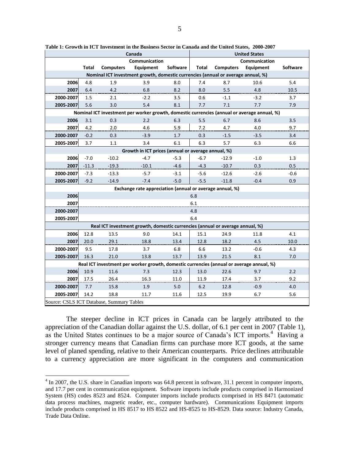|                                                                                             | Canada        |                  |                                                          |          | <b>United States</b> |                  |           |          |
|---------------------------------------------------------------------------------------------|---------------|------------------|----------------------------------------------------------|----------|----------------------|------------------|-----------|----------|
|                                                                                             | Communication |                  |                                                          |          | Communication        |                  |           |          |
|                                                                                             | Total         | <b>Computers</b> | Equipment                                                | Software | Total                | <b>Computers</b> | Equipment | Software |
| Nominal ICT investment growth, domestic currencies (annual or average annual, %)            |               |                  |                                                          |          |                      |                  |           |          |
| 2006                                                                                        | 4.8           | 1.9              | 3.9                                                      | 8.0      | 7.4                  | 8.7              | 10.6      | 5.4      |
| 2007                                                                                        | 6.4           | 4.2              | 6.8                                                      | 8.2      | 8.0                  | 5.5              | 4.8       | 10.5     |
| 2000-2007                                                                                   | 1.5           | 2.1              | $-2.2$                                                   | 3.5      | 0.6                  | $-1.1$           | $-3.2$    | 3.7      |
| 2005-2007                                                                                   | 5.6           | 3.0              | 5.4                                                      | 8.1      | 7.7                  | 7.1              | 7.7       | 7.9      |
| Nominal ICT investment per worker growth, domestic currencies (annual or average annual, %) |               |                  |                                                          |          |                      |                  |           |          |
| 2006                                                                                        | 3.1           | 0.3              | 2.2                                                      | 6.3      | 5.5                  | 6.7              | 8.6       | 3.5      |
| 2007                                                                                        | 4.2           | 2.0              | 4.6                                                      | 5.9      | 7.2                  | 4.7              | 4.0       | 9.7      |
| 2000-2007                                                                                   | $-0.2$        | 0.3              | $-3.9$                                                   | 1.7      | 0.3                  | $-1.5$           | $-3.5$    | 3.4      |
| 2005-2007                                                                                   | 3.7           | 1.1              | 3.4                                                      | 6.1      | 6.3                  | 5.7              | 6.3       | 6.6      |
| Growth in ICT prices (annual or average annual, %)                                          |               |                  |                                                          |          |                      |                  |           |          |
| 2006                                                                                        | $-7.0$        | $-10.2$          | $-4.7$                                                   | $-5.3$   | $-6.7$               | $-12.9$          | $-1.0$    | 1.3      |
| 2007                                                                                        | $-11.3$       | $-19.3$          | $-10.1$                                                  | $-4.6$   | $-4.3$               | $-10.7$          | 0.3       | 0.5      |
| 2000-2007                                                                                   | $-7.3$        | $-13.3$          | $-5.7$                                                   | $-3.1$   | $-5.6$               | $-12.6$          | $-2.6$    | $-0.6$   |
| 2005-2007                                                                                   | $-9.2$        | $-14.9$          | $-7.4$                                                   | $-5.0$   | $-5.5$               | $-11.8$          | $-0.4$    | 0.9      |
|                                                                                             |               |                  | Exchange rate appreciation (annual or average annual, %) |          |                      |                  |           |          |
| 2006                                                                                        | 6.8           |                  |                                                          |          |                      |                  |           |          |
| 2007                                                                                        | 6.1           |                  |                                                          |          |                      |                  |           |          |
| 2000-2007                                                                                   | 4.8           |                  |                                                          |          |                      |                  |           |          |
| 2005-2007                                                                                   | 6.4           |                  |                                                          |          |                      |                  |           |          |
| Real ICT investment growth, domestic currencies (annual or average annual, %)               |               |                  |                                                          |          |                      |                  |           |          |
| 2006                                                                                        | 12.8          | 13.5             | 9.0                                                      | 14.1     | 15.1                 | 24.9             | 11.8      | 4.1      |
| 2007                                                                                        | 20.0          | 29.1             | 18.8                                                     | 13.4     | 12.8                 | 18.2             | 4.5       | 10.0     |
| 2000-2007                                                                                   | 9.5           | 17.8             | 3.7                                                      | 6.8      | 6.6                  | 13.2             | $-0.6$    | 4.3      |
| 2005-2007                                                                                   | 16.3          | 21.0             | 13.8                                                     | 13.7     | 13.9                 | 21.5             | 8.1       | 7.0      |
| Real ICT investment per worker growth, domestic currencies (annual or average annual, %)    |               |                  |                                                          |          |                      |                  |           |          |
| 2006                                                                                        | 10.9          | 11.6             | 7.3                                                      | 12.3     | 13.0                 | 22.6             | 9.7       | 2.2      |
| 2007                                                                                        | 17.5          | 26.4             | 16.3                                                     | 11.0     | 11.9                 | 17.4             | 3.7       | 9.2      |
| 2000-2007                                                                                   | 7.7           | 15.8             | 1.9                                                      | 5.0      | $6.2$                | 12.8             | $-0.9$    | 4.0      |
| 2005-2007                                                                                   | 14.2          | 18.8             | 11.7                                                     | 11.6     | 12.5                 | 19.9             | 6.7       | 5.6      |
| Source: CSLS ICT Database, Summary Tables                                                   |               |                  |                                                          |          |                      |                  |           |          |

**Table 1: Growth in ICT Investment in the Business Sector in Canada and the United States, 2000-2007**

The steeper decline in ICT prices in Canada can be largely attributed to the appreciation of the Canadian dollar against the U.S. dollar, of 6.1 per cent in 2007 (Table 1), as the United States continues to be a major source of Canada's ICT imports.<sup>4</sup> Having a stronger currency means that Canadian firms can purchase more ICT goods, at the same level of planed spending, relative to their American counterparts. Price declines attributable to a currency appreciation are more significant in the computers and communication

<sup>&</sup>lt;sup>4</sup> In 2007, the U.S. share in Canadian imports was 64.8 percent in software, 31.1 percent in computer imports, and 17.7 per cent in communication equipment. Software imports include products comprised in Harmonized System (HS) codes 8523 and 8524. Computer imports include products comprised in HS 8471 (automatic data process machines, magnetic reader, etc., computer hardware). Communications Equipment imports include products comprised in HS 8517 to HS 8522 and HS-8525 to HS-8529. Data source: Industry Canada, Trade Data Online.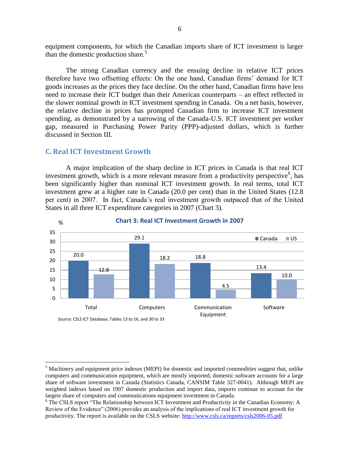equipment components, for which the Canadian imports share of ICT investment is larger than the domestic production share. $5$ 

The strong Canadian currency and the ensuing decline in relative ICT prices therefore have two offsetting effects: On the one hand, Canadian firms' demand for ICT goods increases as the prices they face decline. On the other hand, Canadian firms have less need to increase their ICT budget than their American counterparts – an effect reflected in the slower nominal growth in ICT investment spending in Canada. On a net basis, however, the relative decline in prices has prompted Canadian firm to increase ICT investment spending, as demonstrated by a narrowing of the Canada-U.S. ICT investment per worker gap, measured in Purchasing Power Parity (PPP)-adjusted dollars, which is further discussed in Section III.

#### **C. Real ICT Investment Growth**

 $\overline{a}$ 

A major implication of the sharp decline in ICT prices in Canada is that real ICT investment growth, which is a more relevant measure from a productivity perspective<sup>6</sup>, has been significantly higher than nominal ICT investment growth. In real terms, total ICT investment grew at a higher rate in Canada (20.0 per cent) than in the United States (12.8 per cent) in 2007. In fact, Canada's real investment growth outpaced that of the United States in all three ICT expenditure categories in 2007 (Chart 3).



#### **Chart 3: Real ICT Investment Growth in 2007**

<sup>&</sup>lt;sup>5</sup> Machinery and equipment price indexes (MEPI) for domestic and imported commodities suggest that, unlike computers and communication equipment, which are mostly imported, domestic software accounts for a large share of software investment in Canada (Statistics Canada, CANSIM Table 327-0041). Although MEPI are weighted indexes based on 1997 domestic production and import data, imports continue to account for the largest share of computers and communications equipment investment in Canada.

<sup>6</sup> The CSLS report "The Relationship between ICT Investment and Productivity in the Canadian Economy: A Review of the Evidence" (2006) provides an analysis of the implications of real ICT investment growth for productivity. The report is available on the CSLS website:<http://www.csls.ca/reports/csls2006-05.pdf>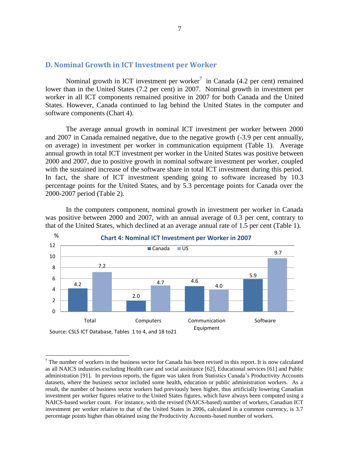#### **D. Nominal Growth in ICT Investment per Worker**

Nominal growth in ICT investment per worker<sup>7</sup> in Canada  $(4.2$  per cent) remained lower than in the United States (7.2 per cent) in 2007. Nominal growth in investment per worker in all ICT components remained positive in 2007 for both Canada and the United States. However, Canada continued to lag behind the United States in the computer and software components (Chart 4).

The average annual growth in nominal ICT investment per worker between 2000 and 2007 in Canada remained negative, due to the negative growth (-3.9 per cent annually, on average) in investment per worker in communication equipment (Table 1). Average annual growth in total ICT investment per worker in the United States was positive between 2000 and 2007, due to positive growth in nominal software investment per worker, coupled with the sustained increase of the software share in total ICT investment during this period. In fact, the share of ICT investment spending going to software increased by 10.3 percentage points for the United States, and by 5.3 percentage points for Canada over the 2000-2007 period (Table 2).

In the computers component, nominal growth in investment per worker in Canada was positive between 2000 and 2007, with an annual average of 0.3 per cent, contrary to that of the United States, which declined at an average annual rate of 1.5 per cent (Table 1).



 $7$  The number of workers in the business sector for Canada has been revised in this report. It is now calculated as all NAICS industries excluding Health care and social assistance [62], Educational services [61] and Public administration [91]. In previous reports, the figure was taken from Statistics Canada's Productivity Accounts datasets, where the business sector included some health, education or public administration workers. As a result, the number of business sector workers had previously been higher, thus artificially lowering Canadian investment per worker figures relative to the United States figures, which have always been computed using a NAICS-based worker count. For instance, with the revised (NAICS-based) number of workers, Canadian ICT investment per worker relative to that of the United States in 2006, calculated in a common currency, is 3.7 percentage points higher than obtained using the Productivity Accounts-based number of workers.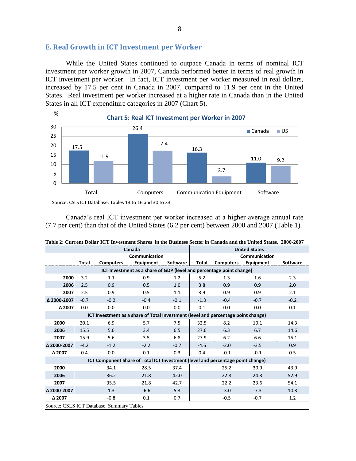# **E. Real Growth in ICT Investment per Worker**

While the United States continued to outpace Canada in terms of nominal ICT investment per worker growth in 2007, Canada performed better in terms of real growth in ICT investment per worker. In fact, ICT investment per worker measured in real dollars, increased by 17.5 per cent in Canada in 2007, compared to 11.9 per cent in the United States. Real investment per worker increased at a higher rate in Canada than in the United States in all ICT expenditure categories in 2007 (Chart 5).



Canada's real ICT investment per worker increased at a higher average annual rate (7.7 per cent) than that of the United States (6.2 per cent) between 2000 and 2007 (Table 1).

|                                                                                   | Canada                                                               |                  |           |                 | <b>United States</b> |                  |           |          |
|-----------------------------------------------------------------------------------|----------------------------------------------------------------------|------------------|-----------|-----------------|----------------------|------------------|-----------|----------|
|                                                                                   | Communication                                                        |                  |           |                 | Communication        |                  |           |          |
|                                                                                   | Total                                                                | <b>Computers</b> | Equipment | <b>Software</b> | Total                | <b>Computers</b> | Equipment | Software |
|                                                                                   | ICT Investment as a share of GDP (level and percentage point change) |                  |           |                 |                      |                  |           |          |
| 2000                                                                              | 3.2                                                                  | 1.1              | 0.9       | 1.2             | 5.2                  | 1.3              | 1.6       | 2.3      |
| 2006                                                                              | 2.5                                                                  | 0.9              | 0.5       | 1.0             | 3.8                  | 0.9              | 0.9       | 2.0      |
| 2007                                                                              | 2.5                                                                  | 0.9              | 0.5       | 1.1             | 3.9                  | 0.9              | 0.9       | 2.1      |
| △ 2000-2007                                                                       | $-0.7$                                                               | $-0.2$           | $-0.4$    | $-0.1$          | $-1.3$               | $-0.4$           | $-0.7$    | $-0.2$   |
| Δ 2007                                                                            | 0.0                                                                  | 0.0              | 0.0       | 0.0             | 0.1                  | 0.0              | 0.0       | 0.1      |
| ICT Investment as a share of Total Investment (level and percentage point change) |                                                                      |                  |           |                 |                      |                  |           |          |
| 2000                                                                              | 20.1                                                                 | 6.9              | 5.7       | 7.5             | 32.5                 | 8.2              | 10.1      | 14.3     |
| 2006                                                                              | 15.5                                                                 | 5.6              | 3.4       | 6.5             | 27.6                 | 6.3              | 6.7       | 14.6     |
| 2007                                                                              | 15.9                                                                 | 5.6              | 3.5       | 6.8             | 27.9                 | 6.2              | 6.6       | 15.1     |
| Δ 2000-2007                                                                       | $-4.2$                                                               | $-1.2$           | $-2.2$    | $-0.7$          | $-4.6$               | $-2.0$           | $-3.5$    | 0.9      |
| Δ 2007                                                                            | 0.4                                                                  | 0.0              | 0.1       | 0.3             | 0.4                  | $-0.1$           | $-0.1$    | 0.5      |
| ICT Component Share of Total ICT Investment (level and percentage point change)   |                                                                      |                  |           |                 |                      |                  |           |          |
| 2000                                                                              |                                                                      | 34.1             | 28.5      | 37.4            |                      | 25.2             | 30.9      | 43.9     |
| 2006                                                                              |                                                                      | 36.2             | 21.8      | 42.0            |                      | 22.8             | 24.3      | 52.9     |
| 2007                                                                              |                                                                      | 35.5             | 21.8      | 42.7            |                      | 22.2             | 23.6      | 54.1     |
| Δ 2000-2007                                                                       |                                                                      | 1.3              | $-6.6$    | 5.3             |                      | $-3.0$           | $-7.3$    | 10.3     |
| Δ 2007                                                                            |                                                                      | $-0.8$           | 0.1       | 0.7             |                      | $-0.5$           | $-0.7$    | 1.2      |
| Source: CSLS ICT Database, Summary Tables                                         |                                                                      |                  |           |                 |                      |                  |           |          |

| Table 2: Current Dollar ICT Investment Shares in the Business Sector in Canada and the United States, 2000-2007 |  |  |
|-----------------------------------------------------------------------------------------------------------------|--|--|
|                                                                                                                 |  |  |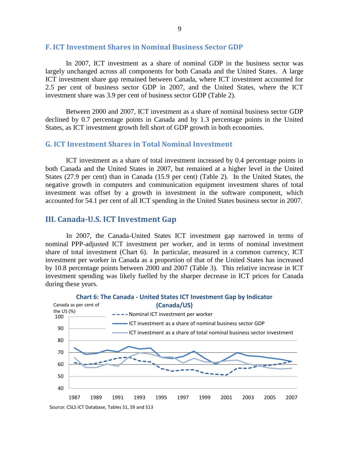#### **F. ICT Investment Shares in Nominal Business Sector GDP**

In 2007, ICT investment as a share of nominal GDP in the business sector was largely unchanged across all components for both Canada and the United States. A large ICT investment share gap remained between Canada, where ICT investment accounted for 2.5 per cent of business sector GDP in 2007, and the United States, where the ICT investment share was 3.9 per cent of business sector GDP (Table 2).

Between 2000 and 2007, ICT investment as a share of nominal business sector GDP declined by 0.7 percentage points in Canada and by 1.3 percentage points in the United States, as ICT investment growth fell short of GDP growth in both economies.

#### **G. ICT Investment Shares in Total Nominal Investment**

ICT investment as a share of total investment increased by 0.4 percentage points in both Canada and the United States in 2007, but remained at a higher level in the United States (27.9 per cent) than in Canada (15.9 per cent) (Table 2). In the United States, the negative growth in computers and communication equipment investment shares of total investment was offset by a growth in investment in the software component, which accounted for 54.1 per cent of all ICT spending in the United States business sector in 2007.

#### **III. Canada-U.S. ICT Investment Gap**

In 2007, the Canada-United States ICT investment gap narrowed in terms of nominal PPP-adjusted ICT investment per worker, and in terms of nominal investment share of total investment (Chart 6). In particular, measured in a common currency, ICT investment per worker in Canada as a proportion of that of the United States has increased by 10.8 percentage points between 2000 and 2007 (Table 3). This relative increase in ICT investment spending was likely fuelled by the sharper decrease in ICT prices for Canada during these years.

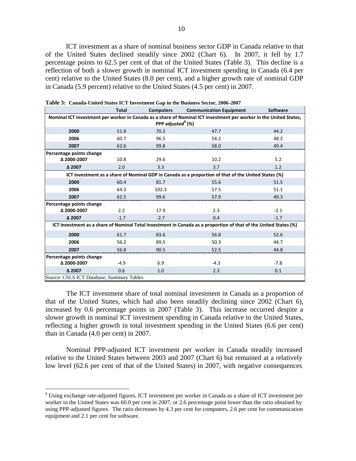ICT investment as a share of nominal business sector GDP in Canada relative to that of the United States declined steadily since 2002 (Chart 6). In 2007, it fell by 1.7 percentage points to 62.5 per cent of that of the United States (Table 3). This decline is a reflection of both a slower growth in nominal ICT investment spending in Canada (6.4 per cent) relative to the United States (8.0 per cent), and a higher growth rate of nominal GDP in Canada (5.9 percent) relative to the United States (4.5 per cent) in 2007.

|                                                                                                                                                    | <b>Total</b> | <b>Computers</b> | <b>Communication Equipment</b> | <b>Software</b> |  |  |  |
|----------------------------------------------------------------------------------------------------------------------------------------------------|--------------|------------------|--------------------------------|-----------------|--|--|--|
| Nominal ICT investment per worker in Canada as a share of Nominal ICT investment per worker in the United States,<br>PPP adjusted <sup>8</sup> (%) |              |                  |                                |                 |  |  |  |
|                                                                                                                                                    |              |                  |                                |                 |  |  |  |
| 2000                                                                                                                                               | 51.8         | 70.2             | 47.7                           | 44.2            |  |  |  |
| 2006                                                                                                                                               | 60.7         | 96.5             | 54.2                           | 48.2            |  |  |  |
| 2007                                                                                                                                               | 62.6         | 99.8             | 58.0                           | 49.4            |  |  |  |
| Percentage points change                                                                                                                           |              |                  |                                |                 |  |  |  |
| △ 2000-2007                                                                                                                                        | 10.8         | 29.6             | 10.2                           | 5.2             |  |  |  |
| Δ 2007                                                                                                                                             | 2.0          | 3.3              | 3.7                            | 1.2             |  |  |  |
| ICT investment as a share of Nominal GDP in Canada as a proportion of that of the United States (%)                                                |              |                  |                                |                 |  |  |  |
| 2000                                                                                                                                               | 60.4         | 81.7             | 55.6                           | 51.5            |  |  |  |
| 2006                                                                                                                                               | 64.3         | 102.3            | 57.5                           | 51.1            |  |  |  |
| 2007                                                                                                                                               | 62.5         | 99.6             | 57.9                           | 49.3            |  |  |  |
| Percentage points change                                                                                                                           |              |                  |                                |                 |  |  |  |
| △ 2000-2007                                                                                                                                        | 2.2          | 17.9             | 2.3                            | $-2.1$          |  |  |  |
| △ 2007                                                                                                                                             | $-1.7$       | $-2.7$           | 0.4                            | $-1.7$          |  |  |  |
| ICT investment as a share of Nominal Total Investment in Canada as a proportion of that of the United States (%)                                   |              |                  |                                |                 |  |  |  |
| 2000                                                                                                                                               | 61.7         | 83.6             | 56.8                           | 52.6            |  |  |  |
| 2006                                                                                                                                               | 56.2         | 89.5             | 50.3                           | 44.7            |  |  |  |
| 2007                                                                                                                                               | 56.8         | 90.5             | 52.5                           | 44.8            |  |  |  |
| Percentage points change                                                                                                                           |              |                  |                                |                 |  |  |  |
| △ 2000-2007                                                                                                                                        | $-4.9$       | 6.9              | $-4.3$                         | $-7.8$          |  |  |  |
| Δ 2007                                                                                                                                             | 0.6          | 1.0              | 2.3                            | 0.1             |  |  |  |
| Source: CSLS ICT Database, Summary Tables                                                                                                          |              |                  |                                |                 |  |  |  |

**Table 3: Canada-United States ICT Investment Gap in the Business Sector, 2006-2007**

The ICT investment share of total nominal investment in Canada as a proportion of that of the United States, which had also been steadily declining since 2002 (Chart 6), increased by 0.6 percentage points in 2007 (Table 3). This increase occurred despite a slower growth in nominal ICT investment spending in Canada relative to the United States, reflecting a higher growth in total investment spending in the United States (6.6 per cent) than in Canada (4.0 per cent) in 2007.

Nominal PPP-adjusted ICT investment per worker in Canada steadily increased relative to the United States between 2003 and 2007 (Chart 6) but remained at a relatively low level (62.6 per cent of that of the United States) in 2007, with negative consequences

<sup>8</sup> Using exchange rate-adjusted figures, ICT investment per worker in Canada as a share of ICT investment per worker in the United States was 60.0 per cent in 2007, or 2.6 percentage point lower than the ratio obtained by using PPP-adjusted figures. The ratio decreases by 4.3 per cent for computers, 2.6 per cent for communication equipment and 2.1 per cent for software.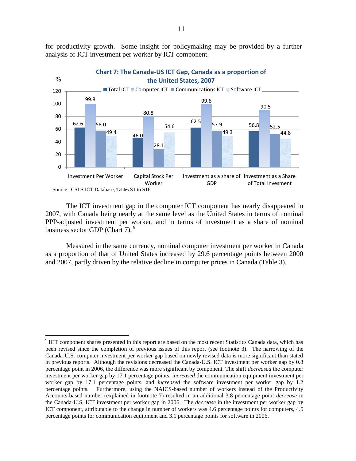for productivity growth. Some insight for policymaking may be provided by a further analysis of ICT investment per worker by ICT component.



The ICT investment gap in the computer ICT component has nearly disappeared in 2007, with Canada being nearly at the same level as the United States in terms of nominal PPP-adjusted investment per worker, and in terms of investment as a share of nominal business sector GDP (Chart 7).<sup>9</sup>

Measured in the same currency, nominal computer investment per worker in Canada as a proportion of that of United States increased by 29.6 percentage points between 2000 and 2007, partly driven by the relative decline in computer prices in Canada (Table 3).

<sup>&</sup>lt;sup>9</sup> ICT component shares presented in this report are based on the most recent Statistics Canada data, which has been revised since the completion of previous issues of this report (see footnote 3). The narrowing of the Canada-U.S. computer investment per worker gap based on newly revised data is more significant than stated in previous reports. Although the revisions decreased the Canada-U.S. ICT investment per worker gap by 0.8 percentage point in 2006, the difference was more significant by component. The shift *decreased* the computer investment per worker gap by 17.1 percentage points, *increased* the communication equipment investment per worker gap by 17.1 percentage points, and *increased* the software investment per worker gap by 1.2 percentage points. Furthermore, using the NAICS-based number of workers instead of the Productivity Accounts-based number (explained in footnote 7) resulted in an additional 3.8 percentage point *decrease* in the Canada-U.S. ICT investment per worker gap in 2006. The *decrease* in the investment per worker gap by ICT component, attributable to the change in number of workers was 4.6 percentage points for computers, 4.5 percentage points for communication equipment and 3.1 percentage points for software in 2006.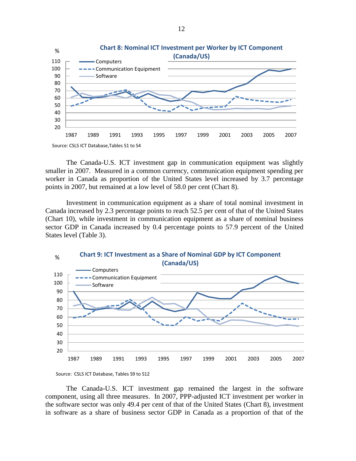

The Canada-U.S. ICT investment gap in communication equipment was slightly smaller in 2007. Measured in a common currency, communication equipment spending per worker in Canada as proportion of the United States level increased by 3.7 percentage points in 2007, but remained at a low level of 58.0 per cent (Chart 8).

Investment in communication equipment as a share of total nominal investment in Canada increased by 2.3 percentage points to reach 52.5 per cent of that of the United States (Chart 10), while investment in communication equipment as a share of nominal business sector GDP in Canada increased by 0.4 percentage points to 57.9 percent of the United States level (Table 3).



Source: CSLS ICT Database, Tables S9 to S12

The Canada-U.S. ICT investment gap remained the largest in the software component, using all three measures. In 2007, PPP-adjusted ICT investment per worker in the software sector was only 49.4 per cent of that of the United States (Chart 8), investment in software as a share of business sector GDP in Canada as a proportion of that of the